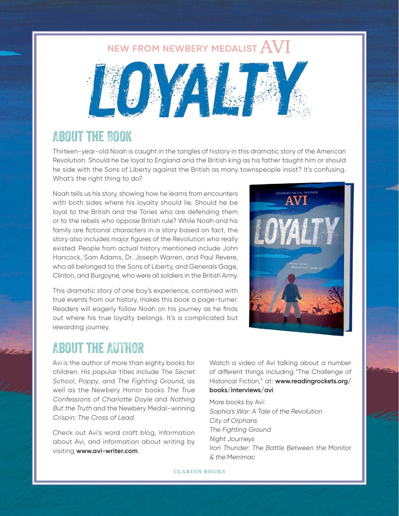### NEW FROM NEWBERY MEDALIST  $\operatorname{AVI}$



## About the Book

Thirteen-year-old Noah is caught in the tangles of history in this dramatic story of the American Revolution. Should he be loyal to England and the British king as his father taught him or should he side with the Sons of Liberty against the British as many townspeople insist? It's confusing. What's the right thing to do?

Noah tells us his story, showing how he learns from encounters with both sides where his loyalty should lie. Should he be loyal to the British and the Tories who are defending them or to the rebels who oppose British rule? While Noah and his family are fictional characters in a story based on fact, the story also includes major figures of the Revolution who really existed. People from actual history mentioned include John Hancock, Sam Adams, Dr. Joseph Warren, and Paul Revere, who all belonged to the Sons of Liberty, and Generals Gage, Clinton, and Burgoyne, who were all soldiers in the British Army.

This dramatic story of one boy's experience, combined with true events from our history, makes this book a page-turner. Readers will eagerly follow Noah on his journey as he finds out where his true loyalty belongs. It's a complicated but rewarding journey.



## About the AUTHOR

Avi is the author of more than eighty books for children. His popular titles include The Secret School, Poppy, and The Fighting Ground, as well as the Newbery Honor books The True Confessions of Charlotte Doyle and Nothing But the Truth and the Newbery Medal–winning Crispin: The Cross of Lead.

Check out Avi's word craft blog, information about Avi, and information about writing by visiting **www.avi-writer.com**.

Watch a video of Avi talking about a number of different things including "The Challenge of Historical Fiction," at: **www.readingrockets.org/ books/interviews/avi**

More books by Avi: Sophia's War: A Tale of the Revolution City of Orphans The Fighting Ground Night Journeys Iron Thunder: The Battle Between the Monitor & the Merrimac

**CLARION BOOKS**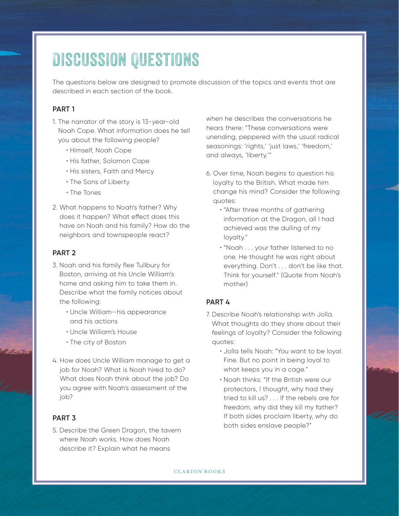## Discussion Questions

The questions below are designed to promote discussion of the topics and events that are described in each section of the book.

#### **PART 1**

- 1. The narrator of the story is 13-year-old Noah Cope. What information does he tell you about the following people?
	- Himself, Noah Cope
	- His father, Solomon Cope
	- His sisters, Faith and Mercy
	- The Sons of Liberty
	- The Tories
- 2. What happens to Noah's father? Why does it happen? What effect does this have on Noah and his family? How do the neighbors and townspeople react?

### **PART 2**

- 3. Noah and his family flee Tullbury for Boston, arriving at his Uncle William's home and asking him to take them in. Describe what the family notices about the following:
	- Uncle William—his appearance and his actions
	- Uncle William's House
	- The city of Boston
- 4. How does Uncle William manage to get a job for Noah? What is Noah hired to do? What does Noah think about the job? Do you agree with Noah's assessment of the job?

#### **PART 3**

5. Describe the Green Dragon, the tavern where Noah works. How does Noah describe it? Explain what he means

when he describes the conversations he hears there: "These conversations were unending, peppered with the usual radical seasonings: 'rights,' 'just laws,' 'freedom,' and always, 'liberty.'"

- 6. Over time, Noah begins to question his loyalty to the British. What made him change his mind? Consider the following quotes:
	- "After three months of gathering information at the Dragon, all I had achieved was the dulling of my loyalty."
	- "Noah . . . your father listened to no one. He thought he was right about everything. Don't . . . don't be like that. Think for yourself." (Quote from Noah's mother)

#### **PART 4**

- 7. Describe Noah's relationship with Jolla. What thoughts do they share about their feelings of loyalty? Consider the following quotes:
	- Jolla tells Noah: "You want to be loyal. Fine. But no point in being loyal to what keeps you in a cage."
	- Noah thinks: "If the British were our protectors, I thought, why had they tried to kill us? . . . If the rebels are for freedom, why did they kill my father? If both sides proclaim liberty, why do both sides enslave people?"

**CLARION BOOKS**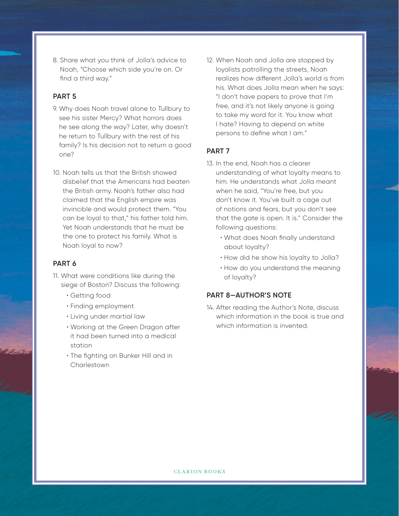8. Share what you think of Jolla's advice to Noah, "Choose which side you're on. Or find a third way."

#### **PART 5**

- 9. Why does Noah travel alone to Tullbury to see his sister Mercy? What horrors does he see along the way? Later, why doesn't he return to Tullbury with the rest of his family? Is his decision not to return a good one?
- 10. Noah tells us that the British showed disbelief that the Americans had beaten the British army. Noah's father also had claimed that the English empire was invincible and would protect them. "You can be loyal to that," his father told him. Yet Noah understands that he must be the one to protect his family. What is Noah loyal to now?

#### **PART 6**

- 11. What were conditions like during the siege of Boston? Discuss the following:
	- Getting food
	- Finding employment
	- Living under martial law
	- Working at the Green Dragon after it had been turned into a medical station
	- The fighting on Bunker Hill and in **Charlestown**

12. When Noah and Jolla are stopped by loyalists patrolling the streets, Noah realizes how different Jolla's world is from his. What does Jolla mean when he says: "I don't have papers to prove that I'm free, and it's not likely anyone is going to take my word for it. You know what I hate? Having to depend on white persons to define what I am."

#### **PART 7**

- 13. In the end, Noah has a clearer understanding of what loyalty means to him. He understands what Jolla meant when he said, "You're free, but you don't know it. You've built a cage out of notions and fears, but you don't see that the gate is open. It is." Consider the following questions:
	- What does Noah finally understand about loyalty?
	- How did he show his loyalty to Jolla?
	- How do you understand the meaning of loyalty?

#### **PART 8—AUTHOR'S NOTE**

14. After reading the Author's Note, discuss which information in the book is true and which information is invented.

#### **CLARION BOOKS**